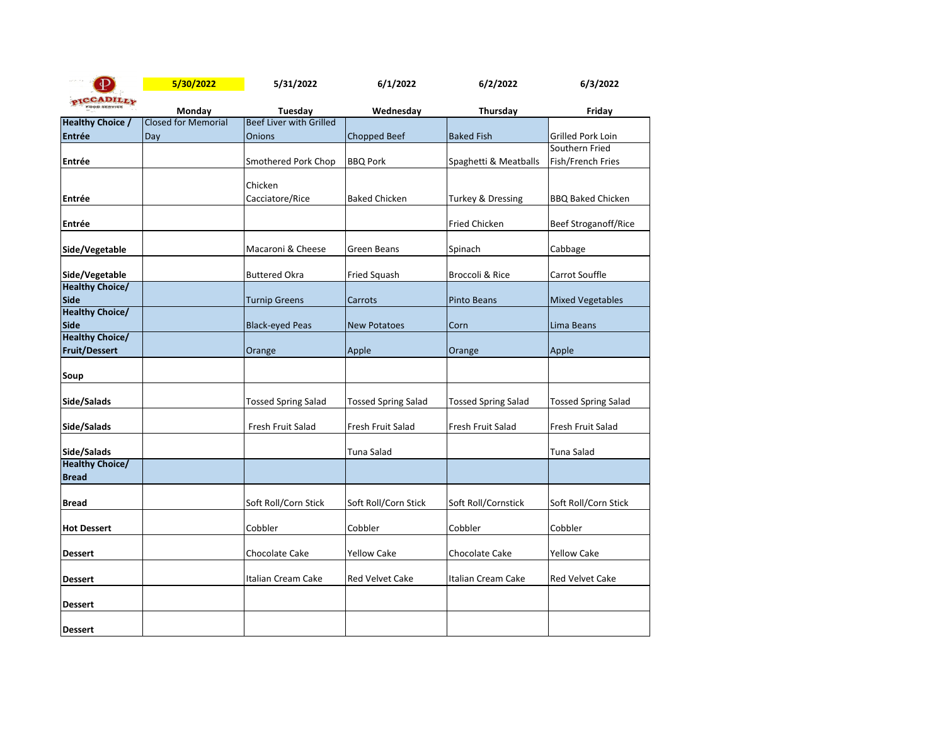| $\mathbf{P}$                             | 5/30/2022                            | 5/31/2022                          | 6/1/2022                   | 6/2/2022                   | 6/3/2022                   |
|------------------------------------------|--------------------------------------|------------------------------------|----------------------------|----------------------------|----------------------------|
| <b>CADILLY</b>                           |                                      |                                    |                            |                            |                            |
| <b>Healthy Choice /</b>                  | Monday<br><b>Closed for Memorial</b> | Tuesday<br>Beef Liver with Grilled | Wednesday                  | Thursday                   | Friday                     |
| Entrée                                   | Day                                  | <b>Onions</b>                      | Chopped Beef               | <b>Baked Fish</b>          | Grilled Pork Loin          |
|                                          |                                      |                                    |                            |                            | Southern Fried             |
| Entrée                                   |                                      | Smothered Pork Chop                | <b>BBQ Pork</b>            | Spaghetti & Meatballs      | Fish/French Fries          |
|                                          |                                      |                                    |                            |                            |                            |
|                                          |                                      | Chicken                            |                            |                            |                            |
| Entrée                                   |                                      | Cacciatore/Rice                    | <b>Baked Chicken</b>       | Turkey & Dressing          | <b>BBQ Baked Chicken</b>   |
| Entrée                                   |                                      |                                    |                            | <b>Fried Chicken</b>       | Beef Stroganoff/Rice       |
|                                          |                                      |                                    |                            |                            |                            |
| Side/Vegetable                           |                                      | Macaroni & Cheese                  | Green Beans                | Spinach                    | Cabbage                    |
|                                          |                                      |                                    |                            |                            |                            |
| Side/Vegetable<br><b>Healthy Choice/</b> |                                      | <b>Buttered Okra</b>               | Fried Squash               | Broccoli & Rice            | Carrot Souffle             |
| <b>Side</b>                              |                                      | <b>Turnip Greens</b>               | Carrots                    | <b>Pinto Beans</b>         | <b>Mixed Vegetables</b>    |
| <b>Healthy Choice/</b>                   |                                      |                                    |                            |                            |                            |
| Side                                     |                                      | <b>Black-eyed Peas</b>             | <b>New Potatoes</b>        | Corn                       | Lima Beans                 |
| <b>Healthy Choice/</b>                   |                                      |                                    |                            |                            |                            |
| <b>Fruit/Dessert</b>                     |                                      | Orange                             | Apple                      | Orange                     | Apple                      |
| Soup                                     |                                      |                                    |                            |                            |                            |
| Side/Salads                              |                                      | <b>Tossed Spring Salad</b>         | <b>Tossed Spring Salad</b> | <b>Tossed Spring Salad</b> | <b>Tossed Spring Salad</b> |
| Side/Salads                              |                                      | Fresh Fruit Salad                  | Fresh Fruit Salad          | Fresh Fruit Salad          | Fresh Fruit Salad          |
| Side/Salads                              |                                      |                                    | Tuna Salad                 |                            | Tuna Salad                 |
| <b>Healthy Choice/</b>                   |                                      |                                    |                            |                            |                            |
| <b>Bread</b>                             |                                      |                                    |                            |                            |                            |
| <b>Bread</b>                             |                                      | Soft Roll/Corn Stick               | Soft Roll/Corn Stick       | Soft Roll/Cornstick        | Soft Roll/Corn Stick       |
| <b>Hot Dessert</b>                       |                                      | Cobbler                            | Cobbler                    | Cobbler                    | Cobbler                    |
| <b>Dessert</b>                           |                                      | Chocolate Cake                     | <b>Yellow Cake</b>         | Chocolate Cake             | <b>Yellow Cake</b>         |
| <b>Dessert</b>                           |                                      | Italian Cream Cake                 | <b>Red Velvet Cake</b>     | Italian Cream Cake         | <b>Red Velvet Cake</b>     |
| <b>Dessert</b>                           |                                      |                                    |                            |                            |                            |
| <b>Dessert</b>                           |                                      |                                    |                            |                            |                            |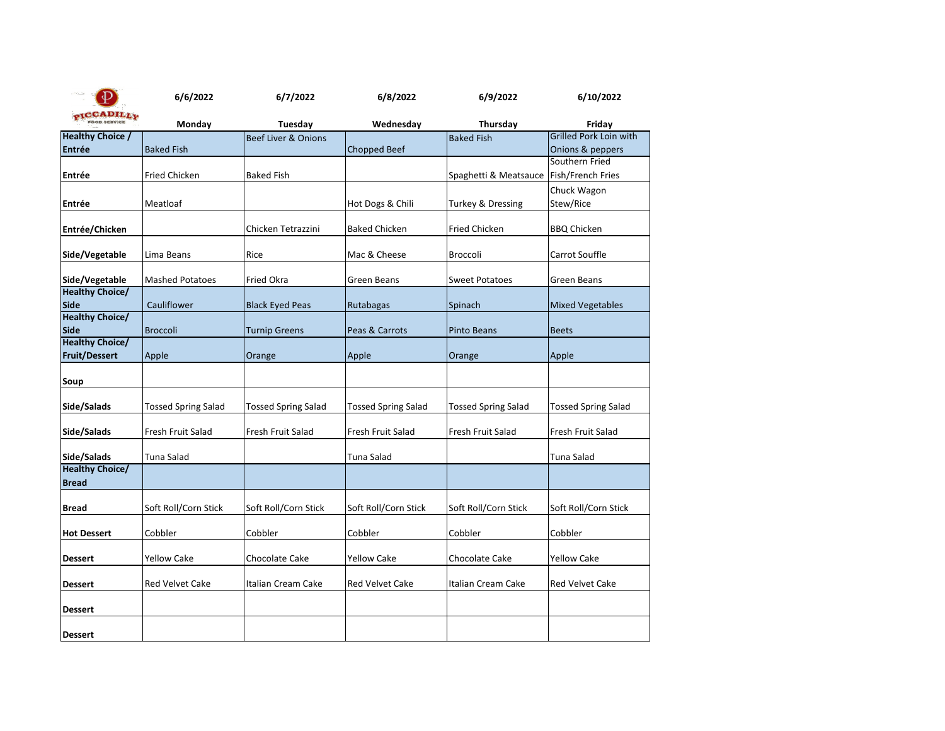|                                                              | 6/6/2022                   | 6/7/2022                   | 6/8/2022                   | 6/9/2022                   | 6/10/2022                           |
|--------------------------------------------------------------|----------------------------|----------------------------|----------------------------|----------------------------|-------------------------------------|
| $_{\mathcal{O}}$ TCCADILL <sub>V</sub><br><b>OOD SERVICE</b> | Monday                     | Tuesday                    | Wednesday                  | Thursday                   | Friday                              |
| <b>Healthy Choice /</b>                                      |                            | Beef Liver & Onions        |                            | <b>Baked Fish</b>          | <b>Grilled Pork Loin with</b>       |
| Entrée                                                       | <b>Baked Fish</b>          |                            | <b>Chopped Beef</b>        |                            | Onions & peppers                    |
| Entrée                                                       | <b>Fried Chicken</b>       | <b>Baked Fish</b>          |                            | Spaghetti & Meatsauce      | Southern Fried<br>Fish/French Fries |
| Entrée                                                       | Meatloaf                   |                            | Hot Dogs & Chili           | Turkey & Dressing          | Chuck Wagon<br>Stew/Rice            |
| Entrée/Chicken                                               |                            | Chicken Tetrazzini         | <b>Baked Chicken</b>       | Fried Chicken              | <b>BBQ Chicken</b>                  |
| Side/Vegetable                                               | Lima Beans                 | Rice                       | Mac & Cheese               | <b>Broccoli</b>            | Carrot Souffle                      |
| Side/Vegetable<br><b>Healthy Choice/</b>                     | <b>Mashed Potatoes</b>     | <b>Fried Okra</b>          | Green Beans                | <b>Sweet Potatoes</b>      | Green Beans                         |
| <b>Side</b>                                                  | Cauliflower                | <b>Black Eyed Peas</b>     | Rutabagas                  | Spinach                    | <b>Mixed Vegetables</b>             |
| <b>Healthy Choice/</b><br><b>Side</b>                        | <b>Broccoli</b>            | <b>Turnip Greens</b>       | Peas & Carrots             | <b>Pinto Beans</b>         | <b>Beets</b>                        |
| <b>Healthy Choice/</b><br><b>Fruit/Dessert</b>               | Apple                      | Orange                     | Apple                      | Orange                     | Apple                               |
| Soup                                                         |                            |                            |                            |                            |                                     |
| Side/Salads                                                  | <b>Tossed Spring Salad</b> | <b>Tossed Spring Salad</b> | <b>Tossed Spring Salad</b> | <b>Tossed Spring Salad</b> | <b>Tossed Spring Salad</b>          |
| Side/Salads                                                  | Fresh Fruit Salad          | Fresh Fruit Salad          | Fresh Fruit Salad          | Fresh Fruit Salad          | Fresh Fruit Salad                   |
| Side/Salads                                                  | Tuna Salad                 |                            | Tuna Salad                 |                            | Tuna Salad                          |
| <b>Healthy Choice/</b><br><b>Bread</b>                       |                            |                            |                            |                            |                                     |
| <b>Bread</b>                                                 | Soft Roll/Corn Stick       | Soft Roll/Corn Stick       | Soft Roll/Corn Stick       | Soft Roll/Corn Stick       | Soft Roll/Corn Stick                |
| <b>Hot Dessert</b>                                           | Cobbler                    | Cobbler                    | Cobbler                    | Cobbler                    | Cobbler                             |
| Dessert                                                      | Yellow Cake                | Chocolate Cake             | <b>Yellow Cake</b>         | Chocolate Cake             | <b>Yellow Cake</b>                  |
| Dessert                                                      | <b>Red Velvet Cake</b>     | Italian Cream Cake         | <b>Red Velvet Cake</b>     | Italian Cream Cake         | <b>Red Velvet Cake</b>              |
| <b>Dessert</b>                                               |                            |                            |                            |                            |                                     |
| <b>Dessert</b>                                               |                            |                            |                            |                            |                                     |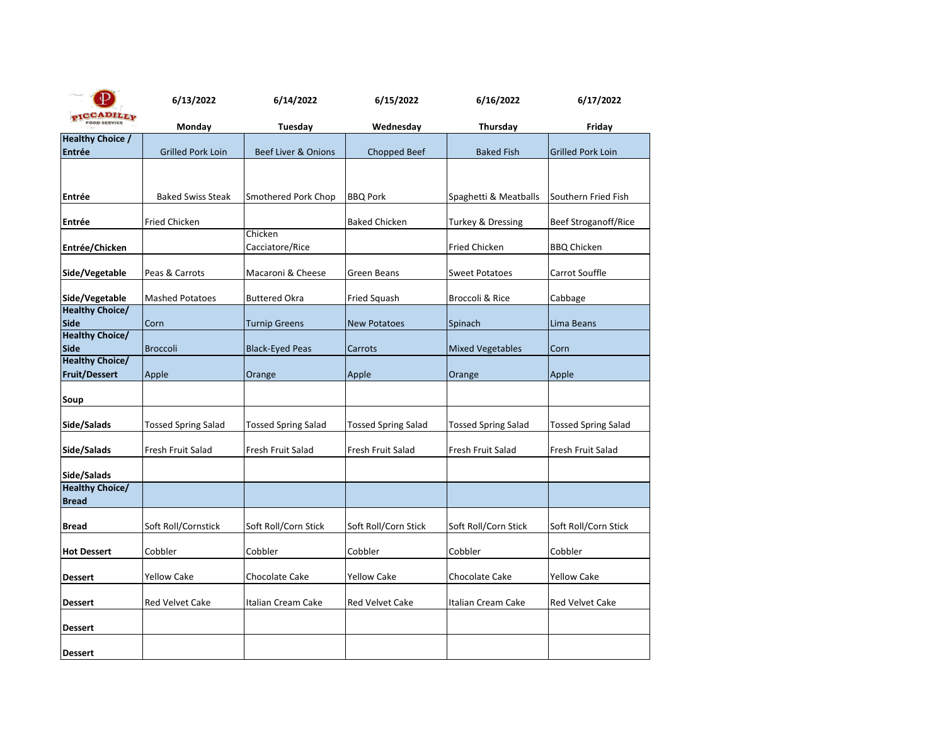| ₽                                     | 6/13/2022                  | 6/14/2022                      | 6/15/2022                  | 6/16/2022                  | 6/17/2022                  |
|---------------------------------------|----------------------------|--------------------------------|----------------------------|----------------------------|----------------------------|
| <b>ADILLY</b><br><b>OOD SERVICE</b>   | Monday                     | Tuesday                        | Wednesday                  | Thursday                   | Friday                     |
| <b>Healthy Choice /</b>               |                            |                                |                            |                            |                            |
| <b>Entrée</b>                         | <b>Grilled Pork Loin</b>   | <b>Beef Liver &amp; Onions</b> | Chopped Beef               | <b>Baked Fish</b>          | <b>Grilled Pork Loin</b>   |
|                                       |                            |                                |                            |                            |                            |
|                                       |                            |                                |                            |                            |                            |
| Entrée                                | <b>Baked Swiss Steak</b>   | Smothered Pork Chop            | <b>BBQ Pork</b>            | Spaghetti & Meatballs      | Southern Fried Fish        |
|                                       |                            |                                |                            |                            |                            |
| Entrée                                | <b>Fried Chicken</b>       |                                | <b>Baked Chicken</b>       | Turkey & Dressing          | Beef Stroganoff/Rice       |
|                                       |                            | Chicken                        |                            |                            |                            |
| Entrée/Chicken                        |                            | Cacciatore/Rice                |                            | <b>Fried Chicken</b>       | <b>BBQ Chicken</b>         |
| Side/Vegetable                        | Peas & Carrots             | Macaroni & Cheese              | Green Beans                | <b>Sweet Potatoes</b>      | Carrot Souffle             |
|                                       |                            |                                |                            |                            |                            |
| Side/Vegetable                        | <b>Mashed Potatoes</b>     | <b>Buttered Okra</b>           | Fried Squash               | Broccoli & Rice            | Cabbage                    |
| <b>Healthy Choice/</b>                |                            |                                |                            |                            |                            |
| <b>Side</b>                           | Corn                       | <b>Turnip Greens</b>           | <b>New Potatoes</b>        | Spinach                    | Lima Beans                 |
| <b>Healthy Choice/</b>                |                            |                                |                            |                            |                            |
| <b>Side</b><br><b>Healthy Choice/</b> | <b>Broccoli</b>            | <b>Black-Eyed Peas</b>         | Carrots                    | <b>Mixed Vegetables</b>    | Corn                       |
| <b>Fruit/Dessert</b>                  | Apple                      | Orange                         | Apple                      | Orange                     | Apple                      |
|                                       |                            |                                |                            |                            |                            |
| Soup                                  |                            |                                |                            |                            |                            |
|                                       |                            |                                |                            |                            |                            |
| Side/Salads                           | <b>Tossed Spring Salad</b> | <b>Tossed Spring Salad</b>     | <b>Tossed Spring Salad</b> | <b>Tossed Spring Salad</b> | <b>Tossed Spring Salad</b> |
| Side/Salads                           | Fresh Fruit Salad          | Fresh Fruit Salad              | Fresh Fruit Salad          | Fresh Fruit Salad          | Fresh Fruit Salad          |
|                                       |                            |                                |                            |                            |                            |
| Side/Salads                           |                            |                                |                            |                            |                            |
| <b>Healthy Choice/</b>                |                            |                                |                            |                            |                            |
| <b>Bread</b>                          |                            |                                |                            |                            |                            |
|                                       |                            |                                |                            |                            |                            |
| <b>Bread</b>                          | Soft Roll/Cornstick        | Soft Roll/Corn Stick           | Soft Roll/Corn Stick       | Soft Roll/Corn Stick       | Soft Roll/Corn Stick       |
| <b>Hot Dessert</b>                    | Cobbler                    | Cobbler                        | Cobbler                    | Cobbler                    | Cobbler                    |
|                                       |                            |                                |                            |                            |                            |
| <b>Dessert</b>                        | Yellow Cake                | Chocolate Cake                 | <b>Yellow Cake</b>         | Chocolate Cake             | <b>Yellow Cake</b>         |
|                                       |                            |                                |                            |                            |                            |
| <b>Dessert</b>                        | Red Velvet Cake            | Italian Cream Cake             | Red Velvet Cake            | Italian Cream Cake         | <b>Red Velvet Cake</b>     |
| <b>Dessert</b>                        |                            |                                |                            |                            |                            |
|                                       |                            |                                |                            |                            |                            |
| <b>Dessert</b>                        |                            |                                |                            |                            |                            |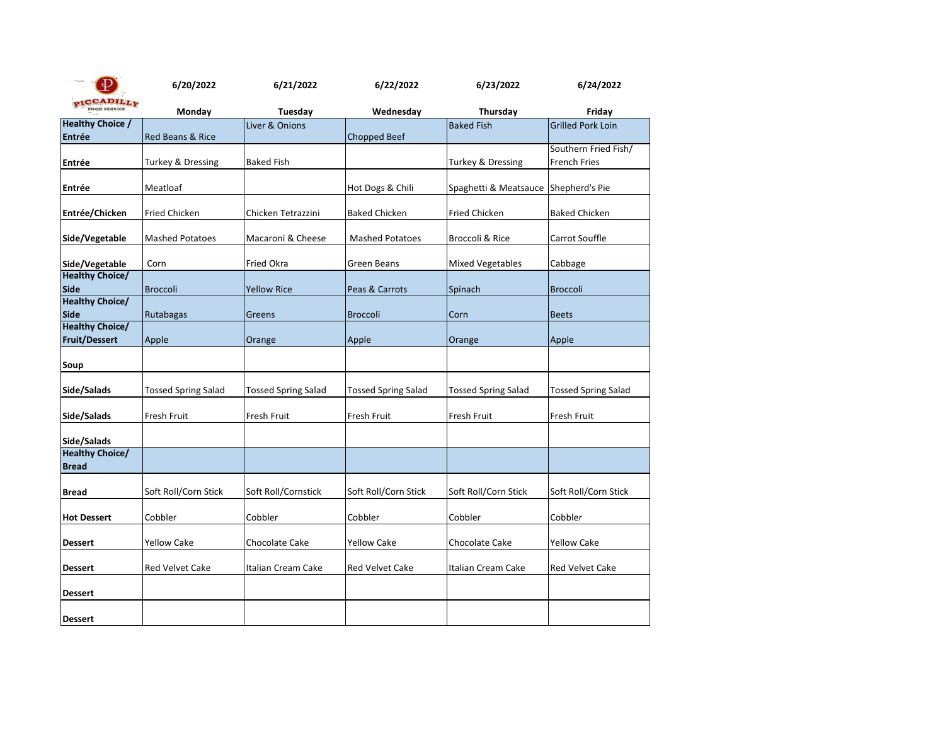| $\Phi$                                         | 6/20/2022                  | 6/21/2022                  | 6/22/2022                  | 6/23/2022                            | 6/24/2022                                   |
|------------------------------------------------|----------------------------|----------------------------|----------------------------|--------------------------------------|---------------------------------------------|
| PICCADILLY                                     | Monday                     | Tuesday                    | Wednesday                  | Thursday                             | Friday                                      |
| <b>Healthy Choice /</b>                        |                            | Liver & Onions             |                            | <b>Baked Fish</b>                    | <b>Grilled Pork Loin</b>                    |
| <b>Entrée</b>                                  | Red Beans & Rice           |                            | <b>Chopped Beef</b>        |                                      |                                             |
| Entrée                                         | Turkey & Dressing          | <b>Baked Fish</b>          |                            | Turkey & Dressing                    | Southern Fried Fish/<br><b>French Fries</b> |
|                                                |                            |                            |                            |                                      |                                             |
| Entrée                                         | Meatloaf                   |                            | Hot Dogs & Chili           | Spaghetti & Meatsauce Shepherd's Pie |                                             |
| Entrée/Chicken                                 | Fried Chicken              | Chicken Tetrazzini         | <b>Baked Chicken</b>       | Fried Chicken                        | <b>Baked Chicken</b>                        |
| Side/Vegetable                                 | <b>Mashed Potatoes</b>     | Macaroni & Cheese          | <b>Mashed Potatoes</b>     | Broccoli & Rice                      | Carrot Souffle                              |
| Side/Vegetable                                 | Corn                       | Fried Okra                 | Green Beans                | <b>Mixed Vegetables</b>              | Cabbage                                     |
| <b>Healthy Choice/</b><br><b>Side</b>          | <b>Broccoli</b>            | <b>Yellow Rice</b>         | Peas & Carrots             | Spinach                              | <b>Broccoli</b>                             |
| <b>Healthy Choice/</b><br><b>Side</b>          | Rutabagas                  | Greens                     | <b>Broccoli</b>            | Corn                                 | <b>Beets</b>                                |
| <b>Healthy Choice/</b><br><b>Fruit/Dessert</b> | Apple                      | Orange                     | Apple                      | Orange                               | Apple                                       |
| Soup                                           |                            |                            |                            |                                      |                                             |
| Side/Salads                                    | <b>Tossed Spring Salad</b> | <b>Tossed Spring Salad</b> | <b>Tossed Spring Salad</b> | <b>Tossed Spring Salad</b>           | <b>Tossed Spring Salad</b>                  |
| Side/Salads                                    | Fresh Fruit                | Fresh Fruit                | Fresh Fruit                | Fresh Fruit                          | Fresh Fruit                                 |
| Side/Salads                                    |                            |                            |                            |                                      |                                             |
| <b>Healthy Choice/</b><br><b>Bread</b>         |                            |                            |                            |                                      |                                             |
| <b>Bread</b>                                   | Soft Roll/Corn Stick       | Soft Roll/Cornstick        | Soft Roll/Corn Stick       | Soft Roll/Corn Stick                 | Soft Roll/Corn Stick                        |
| <b>Hot Dessert</b>                             | Cobbler                    | Cobbler                    | Cobbler                    | Cobbler                              | Cobbler                                     |
| <b>Dessert</b>                                 | <b>Yellow Cake</b>         | Chocolate Cake             | <b>Yellow Cake</b>         | Chocolate Cake                       | <b>Yellow Cake</b>                          |
| <b>Dessert</b>                                 | <b>Red Velvet Cake</b>     | Italian Cream Cake         | <b>Red Velvet Cake</b>     | Italian Cream Cake                   | <b>Red Velvet Cake</b>                      |
| <b>Dessert</b>                                 |                            |                            |                            |                                      |                                             |
| <b>Dessert</b>                                 |                            |                            |                            |                                      |                                             |